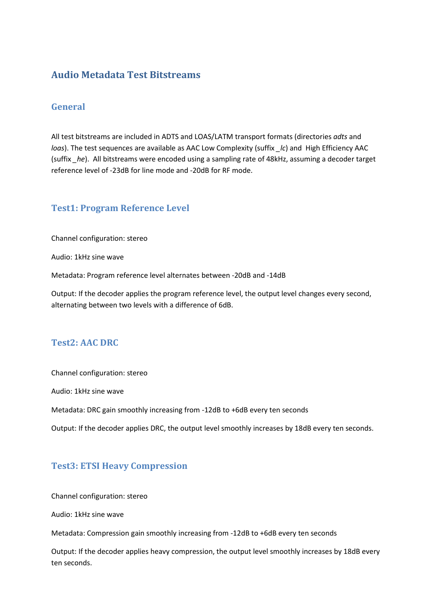## **Audio Metadata Test Bitstreams**

### **General**

All test bitstreams are included in ADTS and LOAS/LATM transport formats (directories *adts* and *loas*). The test sequences are available as AAC Low Complexity (suffix *lc*) and High Efficiency AAC (suffix *\_he*). All bitstreams were encoded using a sampling rate of 48kHz, assuming a decoder target reference level of -23dB for line mode and -20dB for RF mode.

### **Test1: Program Reference Level**

Channel configuration: stereo

Audio: 1kHz sine wave

Metadata: Program reference level alternates between -20dB and -14dB

Output: If the decoder applies the program reference level, the output level changes every second, alternating between two levels with a difference of 6dB.

### **Test2: AAC DRC**

Channel configuration: stereo

Audio: 1kHz sine wave

Metadata: DRC gain smoothly increasing from -12dB to +6dB every ten seconds

Output: If the decoder applies DRC, the output level smoothly increases by 18dB every ten seconds.

### **Test3: ETSI Heavy Compression**

Channel configuration: stereo

Audio: 1kHz sine wave

Metadata: Compression gain smoothly increasing from -12dB to +6dB every ten seconds

Output: If the decoder applies heavy compression, the output level smoothly increases by 18dB every ten seconds.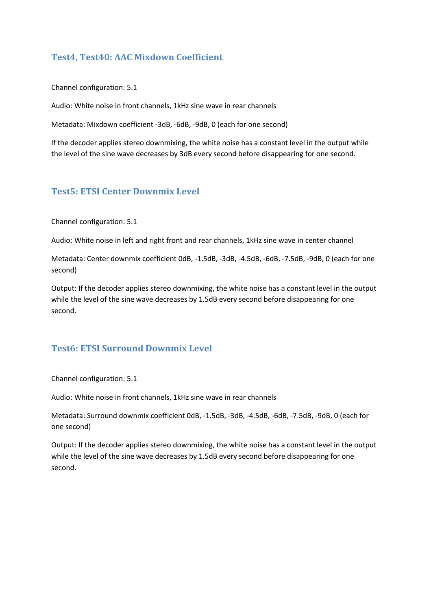## **Test4, Test40: AAC Mixdown Coefficient**

Channel configuration: 5.1

Audio: White noise in front channels, 1kHz sine wave in rear channels

Metadata: Mixdown coefficient -3dB, -6dB, -9dB, 0 (each for one second)

If the decoder applies stereo downmixing, the white noise has a constant level in the output while the level of the sine wave decreases by 3dB every second before disappearing for one second.

### **Test5: ETSI Center Downmix Level**

Channel configuration: 5.1

Audio: White noise in left and right front and rear channels, 1kHz sine wave in center channel

Metadata: Center downmix coefficient 0dB, -1.5dB, -3dB, -4.5dB, -6dB, -7.5dB, -9dB, 0 (each for one second)

Output: If the decoder applies stereo downmixing, the white noise has a constant level in the output while the level of the sine wave decreases by 1.5dB every second before disappearing for one second.

# **Test6: ETSI Surround Downmix Level**

Channel configuration: 5.1

Audio: White noise in front channels, 1kHz sine wave in rear channels

Metadata: Surround downmix coefficient 0dB, -1.5dB, -3dB, -4.5dB, -6dB, -7.5dB, -9dB, 0 (each for one second)

Output: If the decoder applies stereo downmixing, the white noise has a constant level in the output while the level of the sine wave decreases by 1.5dB every second before disappearing for one second.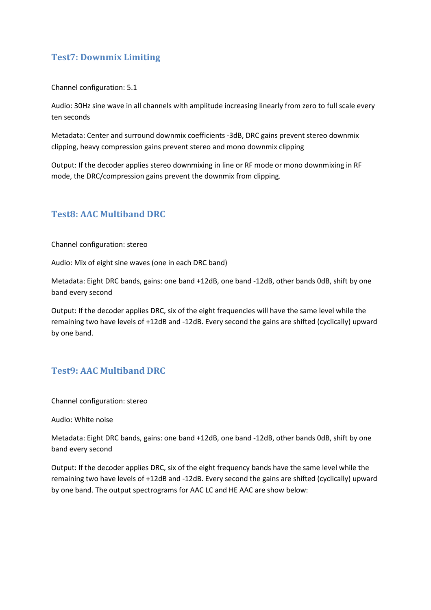# **Test7: Downmix Limiting**

Channel configuration: 5.1

Audio: 30Hz sine wave in all channels with amplitude increasing linearly from zero to full scale every ten seconds

Metadata: Center and surround downmix coefficients -3dB, DRC gains prevent stereo downmix clipping, heavy compression gains prevent stereo and mono downmix clipping

Output: If the decoder applies stereo downmixing in line or RF mode or mono downmixing in RF mode, the DRC/compression gains prevent the downmix from clipping.

### **Test8: AAC Multiband DRC**

Channel configuration: stereo

Audio: Mix of eight sine waves (one in each DRC band)

Metadata: Eight DRC bands, gains: one band +12dB, one band -12dB, other bands 0dB, shift by one band every second

Output: If the decoder applies DRC, six of the eight frequencies will have the same level while the remaining two have levels of +12dB and -12dB. Every second the gains are shifted (cyclically) upward by one band.

### **Test9: AAC Multiband DRC**

Channel configuration: stereo

Audio: White noise

Metadata: Eight DRC bands, gains: one band +12dB, one band -12dB, other bands 0dB, shift by one band every second

Output: If the decoder applies DRC, six of the eight frequency bands have the same level while the remaining two have levels of +12dB and -12dB. Every second the gains are shifted (cyclically) upward by one band. The output spectrograms for AAC LC and HE AAC are show below: